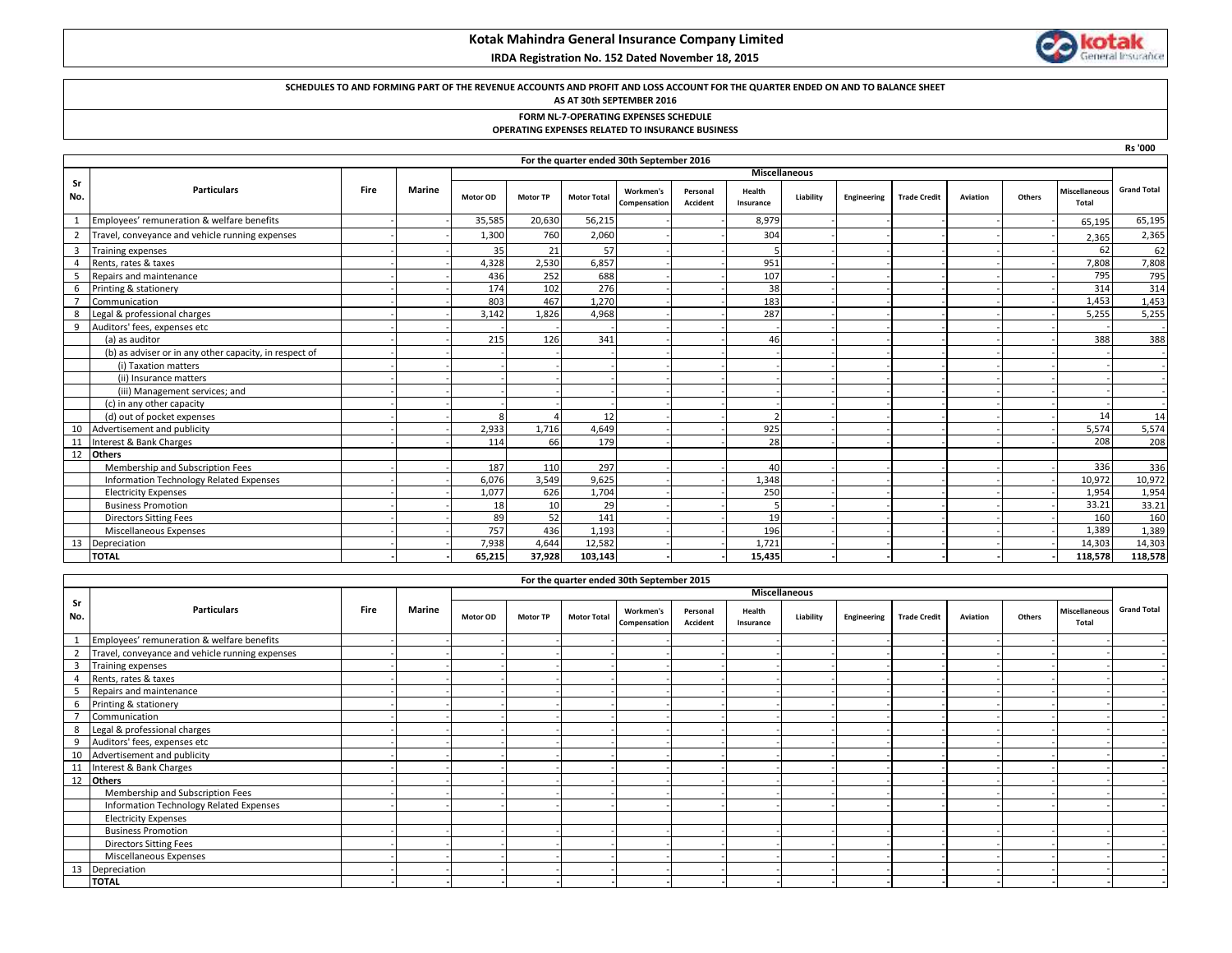# **Kotak Mahindra General Insurance Company Limited**

 **IRDA Registration No. 152 Dated November 18, 2015**



## **SCHEDULES TO AND FORMING PART OF THE REVENUE ACCOUNTS AND PROFIT AND LOSS ACCOUNT FOR THE QUARTER ENDED ON AND TO BALANCE SHEET**

## **AS AT 30th SEPTEMBER 2016**

**FORM NL-7-OPERATING EXPENSES SCHEDULE**

#### **OPERATING EXPENSES RELATED TO INSURANCE BUSINESS**

|                |                                                        |      |               |          |                 |                    |                                           |                      |                     |           |             |                     |          |        |                               | <b>Rs '000</b>     |
|----------------|--------------------------------------------------------|------|---------------|----------|-----------------|--------------------|-------------------------------------------|----------------------|---------------------|-----------|-------------|---------------------|----------|--------|-------------------------------|--------------------|
|                |                                                        |      |               |          |                 |                    | For the quarter ended 30th September 2016 |                      |                     |           |             |                     |          |        |                               |                    |
|                |                                                        |      |               |          |                 |                    |                                           | <b>Miscellaneous</b> |                     |           |             |                     |          |        |                               |                    |
| Sr<br>No.      | <b>Particulars</b>                                     | Fire | <b>Marine</b> | Motor OD | <b>Motor TP</b> | <b>Motor Total</b> | Workmen's<br>Compensation                 | Personal<br>Accident | Health<br>Insurance | Liability | Engineering | <b>Trade Credit</b> | Aviation | Others | <b>Miscellaneous</b><br>Total | <b>Grand Total</b> |
| 1              | Employees' remuneration & welfare benefits             |      |               | 35,585   | 20,630          | 56,215             |                                           |                      | 8,979               |           |             |                     |          |        | 65,195                        | 65,195             |
| $\overline{2}$ | Travel, conveyance and vehicle running expenses        |      |               | 1,300    | 760             | 2,060              |                                           |                      | 304                 |           |             |                     |          |        | 2,365                         | 2,365              |
| $\overline{3}$ | <b>Training expenses</b>                               |      |               | 35       | 21              | 57                 |                                           |                      |                     |           |             |                     |          |        | 62                            | 62                 |
| $\overline{4}$ | Rents, rates & taxes                                   |      |               | 4,328    | 2,530           | 6,857              |                                           |                      | 951                 |           |             |                     |          |        | 7,808                         | 7,808              |
| -5             | Repairs and maintenance                                |      |               | 436      | 252             | 688                |                                           |                      | 107                 |           |             |                     |          |        | 795                           | 795                |
| 6              | Printing & stationery                                  |      |               | 174      | 102             | 276                |                                           |                      | 38                  |           |             |                     |          |        | 314                           | 314                |
| $\overline{7}$ | Communication                                          |      |               | 803      | 467             | 1,270              |                                           |                      | 183                 |           |             |                     |          |        | 1,453                         | 1,453              |
| 8              | Legal & professional charges                           |      |               | 3,142    | 1,826           | 4,968              |                                           |                      | 287                 |           |             |                     |          |        | 5,255                         | 5,255              |
| 9              | Auditors' fees, expenses etc                           |      |               |          |                 |                    |                                           |                      |                     |           |             |                     |          |        |                               |                    |
|                | (a) as auditor                                         |      |               | 215      | 126             | 341                |                                           |                      | 46                  |           |             |                     |          |        | 388                           | 388                |
|                | (b) as adviser or in any other capacity, in respect of |      |               |          |                 |                    |                                           |                      |                     |           |             |                     |          |        |                               |                    |
|                | (i) Taxation matters                                   |      |               |          |                 |                    |                                           |                      |                     |           |             |                     |          |        |                               |                    |
|                | (ii) Insurance matters                                 |      |               |          |                 |                    |                                           |                      |                     |           |             |                     |          |        |                               |                    |
|                | (iii) Management services; and                         |      |               |          |                 |                    |                                           |                      |                     |           |             |                     |          |        |                               |                    |
|                | (c) in any other capacity                              |      |               |          |                 |                    |                                           |                      |                     |           |             |                     |          |        |                               |                    |
|                | (d) out of pocket expenses                             |      |               | -8       |                 | 12                 |                                           |                      |                     |           |             |                     |          |        | 14                            | 14                 |
| 10             | Advertisement and publicity                            |      |               | 2,933    | 1.716           | 4,649              |                                           |                      | 925                 |           |             |                     |          |        | 5,574                         | 5,574              |
| 11             | Interest & Bank Charges                                |      |               | 114      | 66              | 179                |                                           |                      | 28                  |           |             |                     |          |        | 208                           | 208                |
| 12             | <b>Others</b>                                          |      |               |          |                 |                    |                                           |                      |                     |           |             |                     |          |        |                               |                    |
|                | Membership and Subscription Fees                       |      |               | 187      | 110             | 297                |                                           |                      | 40                  |           |             |                     |          |        | 336                           | 336                |
|                | Information Technology Related Expenses                |      |               | 6.076    | 3,549           | 9,625              |                                           |                      | 1,348               |           |             |                     |          |        | 10,972                        | 10,972             |
|                | <b>Electricity Expenses</b>                            |      |               | 1,077    | 626             | 1,704              |                                           |                      | 250                 |           |             |                     |          |        | 1,954                         | 1,954              |
|                | <b>Business Promotion</b>                              |      |               | 18       | 10              | 29                 |                                           |                      |                     |           |             |                     |          |        | 33.21                         | 33.21              |
|                | <b>Directors Sitting Fees</b>                          |      |               | 89       | 52              | 141                |                                           |                      | 19                  |           |             |                     |          |        | 160                           | 160                |
|                | Miscellaneous Expenses                                 |      |               | 757      | 436             | 1.193              |                                           |                      | 196                 |           |             |                     |          |        | 1,389                         | 1,389              |
| 13             | Depreciation                                           |      |               | 7,938    | 4.644           | 12,582             |                                           |                      | 1.721               |           |             |                     |          |        | 14,303                        | 14,303             |
|                | <b>TOTAL</b>                                           |      |               | 65,215   | 37,928          | 103,143            |                                           |                      | 15,435              |           |             |                     |          |        | 118,578                       | 118,578            |

|                         | For the quarter ended 30th September 2015       |      |               |          |                 |                    |                           |                             |                     |           |             |                     |          |        |                               |                    |
|-------------------------|-------------------------------------------------|------|---------------|----------|-----------------|--------------------|---------------------------|-----------------------------|---------------------|-----------|-------------|---------------------|----------|--------|-------------------------------|--------------------|
| Miscellaneous           |                                                 |      |               |          |                 |                    |                           |                             |                     |           |             |                     |          |        |                               |                    |
| Sr<br>No.               | <b>Particulars</b>                              | Fire | <b>Marine</b> | Motor OD | <b>Motor TP</b> | <b>Motor Total</b> | Workmen's<br>Compensation | Personal<br><b>Accident</b> | Health<br>Insurance | Liability | Engineering | <b>Trade Credit</b> | Aviation | Others | <b>Miscellaneous</b><br>Total | <b>Grand Total</b> |
|                         | Employees' remuneration & welfare benefits      |      |               |          |                 |                    |                           |                             |                     |           |             |                     |          |        |                               |                    |
| $\overline{2}$          | Travel, conveyance and vehicle running expenses |      |               |          |                 |                    |                           |                             |                     |           |             |                     |          |        |                               |                    |
| $\overline{\mathbf{3}}$ | Training expenses                               |      |               |          |                 |                    |                           |                             |                     |           |             |                     |          |        |                               |                    |
|                         | Rents, rates & taxes                            |      |               |          |                 |                    |                           |                             |                     |           |             |                     |          |        |                               |                    |
| 5                       | Repairs and maintenance                         |      |               |          |                 |                    |                           |                             |                     |           |             |                     |          |        |                               |                    |
| 6                       | Printing & stationery                           |      |               |          |                 |                    |                           |                             |                     |           |             |                     |          |        |                               |                    |
| п,                      | Communication                                   |      |               |          |                 |                    |                           |                             |                     |           |             |                     |          |        |                               |                    |
| 8                       | Legal & professional charges                    |      |               |          |                 |                    |                           |                             |                     |           |             |                     |          |        |                               |                    |
| 9                       | Auditors' fees, expenses etc                    |      |               |          |                 |                    |                           |                             |                     |           |             |                     |          |        |                               |                    |
| 10                      | Advertisement and publicity                     |      |               |          |                 |                    |                           |                             |                     |           |             |                     |          |        |                               |                    |
| 11                      | Interest & Bank Charges                         |      |               |          |                 |                    |                           |                             |                     |           |             |                     |          |        |                               |                    |
| 12                      | <b>Others</b>                                   |      |               |          |                 |                    |                           |                             |                     |           |             |                     |          |        |                               |                    |
|                         | Membership and Subscription Fees                |      |               |          |                 |                    |                           |                             |                     |           |             |                     |          |        |                               |                    |
|                         | Information Technology Related Expenses         |      |               |          |                 |                    |                           |                             |                     |           |             |                     |          |        |                               |                    |
|                         | <b>Electricity Expenses</b>                     |      |               |          |                 |                    |                           |                             |                     |           |             |                     |          |        |                               |                    |
|                         | <b>Business Promotion</b>                       |      |               |          |                 |                    |                           |                             |                     |           |             |                     |          |        |                               |                    |
|                         | <b>Directors Sitting Fees</b>                   |      |               |          |                 |                    |                           |                             |                     |           |             |                     |          |        |                               |                    |
|                         | Miscellaneous Expenses                          |      |               |          |                 |                    |                           |                             |                     |           |             |                     |          |        |                               |                    |
| 13                      | Depreciation                                    |      |               |          |                 |                    |                           |                             |                     |           |             |                     |          |        |                               |                    |
|                         | <b>TOTAL</b>                                    |      |               |          |                 |                    |                           |                             |                     |           |             |                     |          |        |                               |                    |